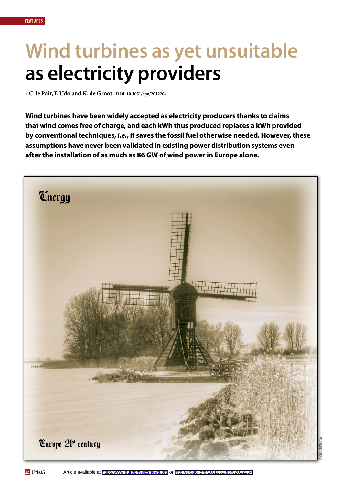**EPN 43/2 22**

# **Wind turbines as yet unsuitable as electricity providers**

l**C. le Pair, F. Udo and K. de Groot - DOI: 10.1051/epn/2012204** 

**Wind turbines have been widely accepted as electricity producers thanks to claims that wind comes free of charge, and each kWh thus produced replaces a kWh provided by conventional techniques,** *i.e.***, it saves the fossil fuel otherwise needed. However, these assumptions have never been validated in existing power distribution systems even after the installation of as much as 86 GW of wind power in Europe alone.**

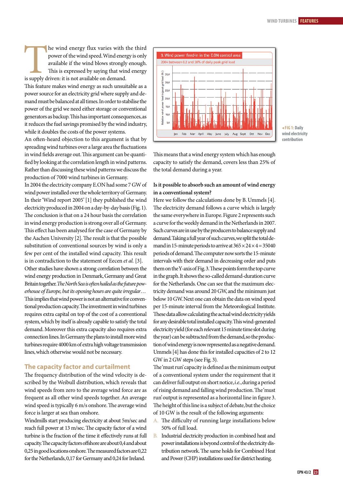The wind energy flux varies with the third<br>power of the wind speed. Wind energy is only<br>available if the wind blows strongly enough.<br>This is expressed by saying that wind energy<br>is supply driven: it is not available on dem power of the wind speed. Wind energy is only available if the wind blows strongly enough. This is expressed by saying that wind energy is supply driven: it is not available on demand.

This feature makes wind energy as such unsuitable as a power source for an electricity grid where supply and demand must be balanced at all times. In order to stabilise the power of the grid we need either storage or conventional generators as backup. This has important consequences, as it reduces the fuel savings promised by the wind industry, while it doubles the costs of the power systems.

An often-heard objection to this argument is that by spreading wind turbines over a large area the fluctuations in wind fields average out. This argument can be quantified by looking at the correlation length in wind patterns. Rather than discussing these wind patterns we discuss the production of 7000 wind turbines in Germany.

In 2004 the electricity company E.ON had some 7 GW of wind power installed over the whole territory of Germany. In their 'Wind report 2005' [1] they published the wind electricity produced in 2004 on a day-by-day basis (Fig. 1). The conclusion is that on a 24 hour basis the correlation in wind energy production is strong over all of Germany. This effect has been analysed for the case of Germany by the Aachen University [2]. The result is that the possible substitution of conventional sources by wind is only a few per cent of the installed wind capacity. This result is in contradiction to the statement of Eecen *et al.* [3].

Other studies have shown a strong correlation between the wind energy production in Denmark, Germany and Great Britain together. *The North Sea is often hailed as the future powerhouse of Europe, but its opening hours are quite irregular*… This implies that wind power is not an alternative for conventional production capacity. The investment in wind turbines requires extra capital on top of the cost of a conventional system, which by itself is already capable to satisfy the total demand. Moreover this extra capacity also requires extra connection lines. In Germany the plans to install more wind turbines require 4000 km of extra high voltage transmission lines, which otherwise would not be necessary.

#### **The capacity factor and curtailment**

The frequency distribution of the wind velocity is described by the Weibull distribution, which reveals that wind speeds from zero to the average wind force are as frequent as all other wind speeds together. An average wind speed is typically 6 m/s onshore. The average wind force is larger at sea than onshore.

Windmills start producing electricity at about 5m/sec and reach full power at 13 m/sec. The capacity factor of a wind turbine is the fraction of the time it effectively runs at full capacity. The capacity factors offshore are about 0,4 and about 0,25 in good locations onshore. The measured factors are 0,22 for the Netherlands, 0,17 for Germany and 0,24 for Ireland.



<sup>b</sup> **Fig 1: Daily wind electricity contribution**

This means that a wind energy system which has enough capacity to satisfy the demand, covers less than 25% of the total demand during a year.

## **Is it possible to absorb such an amount of wind energy in a conventional system?**

Here we follow the calculations done by B. Ummels [4]. The electricity demand follows a curve which is largely the same everywhere in Europe. Figure 2 represents such a curve for the weekly demand in the Netherlands in 2007. Such curves are in use by the producers to balance supply and demand. Taking a full year of such curves, we split the total demand in 15-minute periods to arrive at  $365 \times 24 \times 4 = 35040$ periods of demand. The computer now sorts the 15-minute intervals with their demand in decreasing order and puts them on the Y-axis of Fig. 3. These points form the top curve in the graph. It shows the so-called demand-duration curve for the Netherlands. One can see that the maximum electricity demand was around 20 GW, and the minimum just below 10 GW. Next one can obtain the data on wind speed per 15-minute interval from the Meteorological Institute. These data allow calculating the actual wind electricity yields for any desirable total installed capacity. This wind-generated electricity yield (for each relevant 15 minute time slot during the year) can be subtracted from the demand, so the production of wind energy is now represented as a negative demand. Ummels [4] has done this for installed capacities of 2 to 12 GW in 2 GW steps (see Fig. 3).

The 'must run' capacity is defined as the minimum output of a conventional system under the requirement that it can deliver full output on short notice, *i.e.*, during a period of rising demand and falling wind production. The 'must run' output is represented as a horizontal line in figure 3. The height of this line is a subject of debate, but the choice of 10 GW is the result of the following arguments:

- A. The difficulty of running large installations below 50% of full load.
- B. Industrial electricity production in combined heat and power installations is beyond control of the electricity distribution network. The same holds for Combined Heat and Power (CHP) installations used for district heating.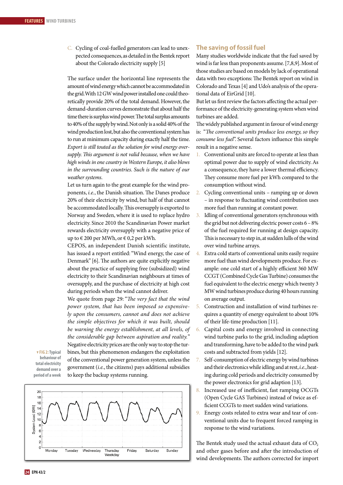C. Cycling of coal-fuelled generators can lead to unexpected consequences, as detailed in the Bentek report about the Colorado electricity supply [5]

The surface under the horizontal line represents the amount of wind energy which cannot be accommodated in the grid. With 12 GW wind power installed one could theoretically provide 20% of the total demand. However, the demand-duration curves demonstrate that about half the time there is surplus wind power. The total surplus amounts to 40% of the supply by wind. Not only is a solid 40% of the wind production lost, but also the conventional system has to run at minimum capacity during exactly half the time. *Export is still touted as the solution for wind energy oversupply. This argument is not valid because, when we have high winds in one country in Western Europe, it also blows in the surrounding countries. Such is the nature of our weather systems*.

Let us turn again to the great example for the wind proponents, *i.e.*, the Danish situation. The Danes produce 20% of their electricity by wind, but half of that cannot be accommodated locally. This oversupply is exported to Norway and Sweden, where it is used to replace hydro electricity. Since 2010 the Scandinavian Power market rewards electricity oversupply with a negative price of up to  $\in$  200 per MWh, or  $\in$  0,2 per kWh.

CEPOS, an independent Danish scientific institute, has issued a report entitled: "Wind energy, the case of Denmark" [6]. The authors are quite explicitly negative about the practice of supplying free (subsidized) wind electricity to their Scandinavian neighbours at times of oversupply, and the purchase of electricity at high cost during periods when the wind cannot deliver.

We quote from page 29: "*The very fact that the wind power system, that has been imposed so expensively upon the consumers, cannot and does not achieve the simple objectives for which it was built, should be warning the energy establishment, at all levels, of the considerable gap between aspiration and reality.*" Negative electricity prices are the only way to stop the turbines, but this phenomenon endangers the exploitation of the conventional power generation system, unless the

government (*i.e.*, the citizens) pays additional subsidies

. **Fig 2: Typical behaviour of total electricity demand over a period of a week**



to keep the backup systems running.

## **The saving of fossil fuel**

Many studies worldwide indicate that the fuel saved by wind is far less than proponents assume. [7,8,9]. Most of those studies are based on models by lack of operational data with two exceptions: The Bentek report on wind in Colorado and Texas [4] and Udo's analysis of the operational data of EirGrid [10].

But let us first review the factors affecting the actual performance of the electricity-generating system when wind turbines are added.

The widely published argument in favour of wind energy is: "*The conventional units produce less energy, so they consume less fuel*". Several factors influence this simple result in a negative sense.

- Conventional units are forced to operate at less than optimal power due to supply of wind electricity. As a consequence, they have a lower thermal efficiency. They consume more fuel per kWh compared to the consumption without wind.
- Cycling conventional units ramping up or down – in response to fluctuating wind contribution uses more fuel than running at constant power.
- Idling of conventional generators synchronous with the grid but not delivering electric power costs 6 – 8% of the fuel required for running at design capacity. This is necessary to step in, at sudden lulls of the wind over wind turbine arrays.
- Extra cold starts of conventional units easily require more fuel than wind developments produce. For example: one cold start of a highly efficient 360 MW CCGT (Combined Cycle Gas Turbine) consumes the fuel equivalent to the electric energy which twenty 3 MW wind turbines produce during 40 hours running on average output.
- 5. Construction and installation of wind turbines requires a quantity of energy equivalent to about 10% of their life-time production [11].
- 6. Capital costs and energy involved in connecting wind turbine parks to the grid, including adaption and transforming, have to be added to the wind park costs and subtracted from yields [12].
- 7. Self-consumption of electric energy by wind turbines and their electronics while idling and at rest, *i.e.*, heating during cold periods and electricity consumed by the power electronics for grid adaption [13].
- 8. Increased use of inefficient, fast ramping OCGTs (Open Cycle GAS Turbines) instead of twice as efficient CCGTs to meet sudden wind variations.
- 9. Energy costs related to extra wear and tear of conventional units due to frequent forced ramping in response to the wind variations.

The Bentek study used the actual exhaust data of  $CO<sub>2</sub>$ and other gases before and after the introduction of wind developments. The authors corrected for import